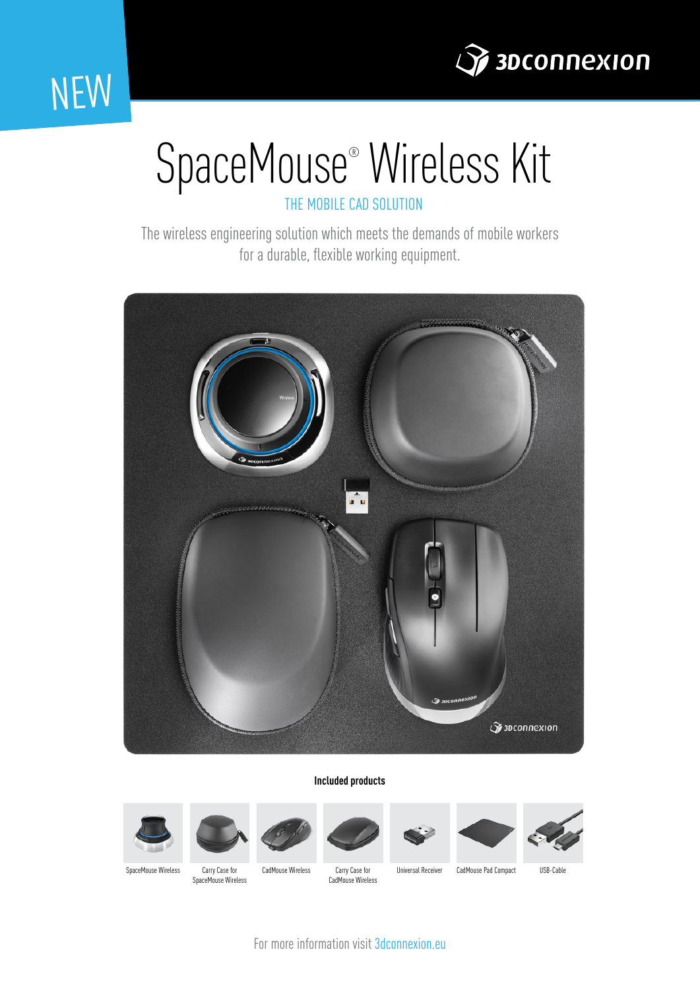

### NEW

# SpaceMouse® Wireless Kit

THE MOBILE CAD SOLUTION

The wireless engineering solution which meets the demands of mobile workers for a durable, flexible working equipment.



#### **Included products**















SpaceMouse Wireless Carry Case for CadMouse Wireless

SpaceMouse Wireless

Carry Case for CadMouse Wireless

Universal Receiver CadMouse Pad Compact USB-Cable

For more information visit 3dconnexion.eu